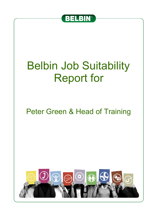

## Belbin Job Suitability Report for

## Peter Green & Head of Training